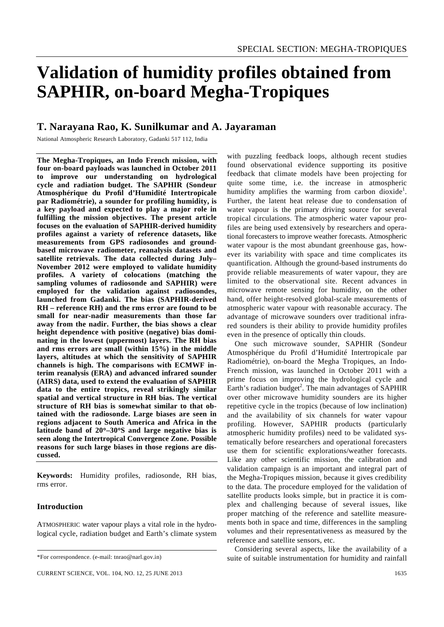# **Validation of humidity profiles obtained from SAPHIR, on-board Megha-Tropiques**

# **T. Narayana Rao, K. Sunilkumar and A. Jayaraman**

National Atmospheric Research Laboratory, Gadanki 517 112, India

**The Megha-Tropiques, an Indo French mission, with four on-board payloads was launched in October 2011 to improve our understanding on hydrological cycle and radiation budget. The SAPHIR (Sondeur Atmosphérique du Profil d'Humidité Intertropicale par Radiométrie), a sounder for profiling humidity, is a key payload and expected to play a major role in fulfilling the mission objectives. The present article focuses on the evaluation of SAPHIR-derived humidity profiles against a variety of reference datasets, like measurements from GPS radiosondes and groundbased microwave radiometer, reanalysis datasets and satellite retrievals. The data collected during July– November 2012 were employed to validate humidity profiles. A variety of colocations (matching the sampling volumes of radiosonde and SAPHIR) were employed for the validation against radiosondes, launched from Gadanki. The bias (SAPHIR-derived RH – reference RH) and the rms error are found to be small for near-nadir measurements than those far away from the nadir. Further, the bias shows a clear height dependence with positive (negative) bias dominating in the lowest (uppermost) layers. The RH bias and rms errors are small (within 15%) in the middle layers, altitudes at which the sensitivity of SAPHIR channels is high. The comparisons with ECMWF interim reanalysis (ERA) and advanced infrared sounder (AIRS) data, used to extend the evaluation of SAPHIR data to the entire tropics, reveal strikingly similar spatial and vertical structure in RH bias. The vertical structure of RH bias is somewhat similar to that obtained with the radiosonde. Large biases are seen in regions adjacent to South America and Africa in the latitude band of 20**°**–30**°**S and large negative bias is seen along the Intertropical Convergence Zone. Possible reasons for such large biases in those regions are discussed.** 

**Keywords:** Humidity profiles, radiosonde, RH bias, rms error.

# **Introduction**

ATMOSPHERIC water vapour plays a vital role in the hydrological cycle, radiation budget and Earth's climate system

with puzzling feedback loops, although recent studies found observational evidence supporting its positive feedback that climate models have been projecting for quite some time, i.e. the increase in atmospheric humidity amplifies the warming from carbon dioxide<sup>1</sup>. Further, the latent heat release due to condensation of water vapour is the primary driving source for several tropical circulations. The atmospheric water vapour profiles are being used extensively by researchers and operational forecasters to improve weather forecasts. Atmospheric water vapour is the most abundant greenhouse gas, however its variability with space and time complicates its quantification. Although the ground-based instruments do provide reliable measurements of water vapour, they are limited to the observational site. Recent advances in microwave remote sensing for humidity, on the other hand, offer height-resolved global-scale measurements of atmospheric water vapour with reasonable accuracy. The advantage of microwave sounders over traditional infrared sounders is their ability to provide humidity profiles even in the presence of optically thin clouds.

 One such microwave sounder, SAPHIR (Sondeur Atmosphérique du Profil d'Humidité Intertropicale par Radiométrie), on-board the Megha Tropiques, an Indo-French mission, was launched in October 2011 with a prime focus on improving the hydrological cycle and Earth's radiation budget<sup>2</sup>. The main advantages of SAPHIR over other microwave humidity sounders are its higher repetitive cycle in the tropics (because of low inclination) and the availability of six channels for water vapour profiling. However, SAPHIR products (particularly atmospheric humidity profiles) need to be validated systematically before researchers and operational forecasters use them for scientific explorations/weather forecasts. Like any other scientific mission, the calibration and validation campaign is an important and integral part of the Megha-Tropiques mission, because it gives credibility to the data. The procedure employed for the validation of satellite products looks simple, but in practice it is complex and challenging because of several issues, like proper matching of the reference and satellite measurements both in space and time, differences in the sampling volumes and their representativeness as measured by the reference and satellite sensors, etc.

 Considering several aspects, like the availability of a suite of suitable instrumentation for humidity and rainfall

<sup>\*</sup>For correspondence. (e-mail: tnrao@narl.gov.in)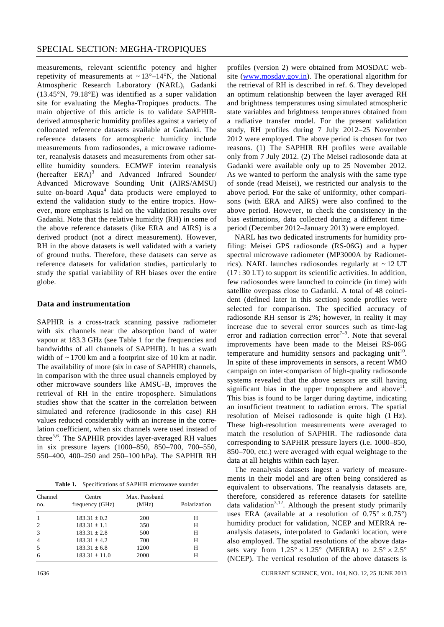measurements, relevant scientific potency and higher repetivity of measurements at  $\sim 13^{\circ} - 14^{\circ}$ N, the National Atmospheric Research Laboratory (NARL), Gadanki (13.45°N, 79.18°E) was identified as a super validation site for evaluating the Megha-Tropiques products. The main objective of this article is to validate SAPHIRderived atmospheric humidity profiles against a variety of collocated reference datasets available at Gadanki. The reference datasets for atmospheric humidity include measurements from radiosondes, a microwave radiometer, reanalysis datasets and measurements from other satellite humidity sounders. ECMWF interim reanalysis (hereafter  $ERA$ )<sup>3</sup> and Advanced Infrared Sounder/ Advanced Microwave Sounding Unit (AIRS/AMSU) suite on-board Aqua<sup>4</sup> data products were employed to extend the validation study to the entire tropics. However, more emphasis is laid on the validation results over Gadanki. Note that the relative humidity (RH) in some of the above reference datasets (like ERA and AIRS) is a derived product (not a direct measurement). However, RH in the above datasets is well validated with a variety of ground truths. Therefore, these datasets can serve as reference datasets for validation studies, particularly to study the spatial variability of RH biases over the entire globe.

# **Data and instrumentation**

SAPHIR is a cross-track scanning passive radiometer with six channels near the absorption band of water vapour at 183.3 GHz (see Table 1 for the frequencies and bandwidths of all channels of SAPHIR). It has a swath width of ~ 1700 km and a footprint size of 10 km at nadir. The availability of more (six in case of SAPHIR) channels, in comparison with the three usual channels employed by other microwave sounders like AMSU-B, improves the retrieval of RH in the entire troposphere. Simulations studies show that the scatter in the correlation between simulated and reference (radiosonde in this case) RH values reduced considerably with an increase in the correlation coefficient, when six channels were used instead of three5,6. The SAPHIR provides layer-averaged RH values in six pressure layers (1000–850, 850–700, 700–550, 550–400, 400–250 and 250–100 hPa). The SAPHIR RH

**Table 1.** Specifications of SAPHIR microwave sounder

| Channel<br>no. | Centre<br>frequency (GHz) | Max. Passband<br>(MHz) | Polarization |
|----------------|---------------------------|------------------------|--------------|
| $\mathbf{1}$   | $183.31 \pm 0.2$          | 200                    | н            |
| $\overline{2}$ | $183.31 \pm 1.1$          | 350                    | Н            |
| 3              | $183.31 \pm 2.8$          | 500                    | Н            |
| $\overline{4}$ | $183.31 \pm 4.2$          | 700                    | Н            |
| 5              | $183.31 \pm 6.8$          | 1200                   | Н            |
| 6              | $183.31 \pm 11.0$         | 2000                   | н            |

profiles (version 2) were obtained from MOSDAC website (www.mosdav.gov.in). The operational algorithm for the retrieval of RH is described in ref. 6. They developed an optimum relationship between the layer averaged RH and brightness temperatures using simulated atmospheric state variables and brightness temperatures obtained from a radiative transfer model. For the present validation study, RH profiles during 7 July 2012–25 November 2012 were employed. The above period is chosen for two reasons. (1) The SAPHIR RH profiles were available only from 7 July 2012. (2) The Meisei radiosonde data at Gadanki were available only up to 25 November 2012. As we wanted to perform the analysis with the same type of sonde (read Meisei), we restricted our analysis to the above period. For the sake of uniformity, other comparisons (with ERA and AIRS) were also confined to the above period. However, to check the consistency in the bias estimations, data collected during a different timeperiod (December 2012–January 2013) were employed.

 NARL has two dedicated instruments for humidity profiling: Meisei GPS radiosonde (RS-06G) and a hyper spectral microwave radiometer (MP3000A by Radiometrics). NARL launches radiosondes regularly at  $\sim$  12 UT (17 : 30 LT) to support its scientific activities. In addition, few radiosondes were launched to coincide (in time) with satellite overpass close to Gadanki. A total of 48 coincident (defined later in this section) sonde profiles were selected for comparison. The specified accuracy of radiosonde RH sensor is 2%; however, in reality it may increase due to several error sources such as time-lag error and radiation correction error<sup> $7-9$ </sup>. Note that several improvements have been made to the Meisei RS-06G temperature and humidity sensors and packaging unit<sup>10</sup>. In spite of these improvements in sensors, a recent WMO campaign on inter-comparison of high-quality radiosonde systems revealed that the above sensors are still having significant bias in the upper troposphere and above<sup>11</sup>. This bias is found to be larger during daytime, indicating an insufficient treatment to radiation errors. The spatial resolution of Meisei radiosonde is quite high (1 Hz). These high-resolution measurements were averaged to match the resolution of SAPHIR. The radiosonde data corresponding to SAPHIR pressure layers (i.e. 1000–850, 850–700, etc.) were averaged with equal weightage to the data at all heights within each layer.

 The reanalysis datasets ingest a variety of measurements in their model and are often being considered as equivalent to observations. The reanalysis datasets are, therefore, considered as reference datasets for satellite data validation<sup>3,12</sup>. Although the present study primarily uses ERA (available at a resolution of  $0.75^{\circ} \times 0.75^{\circ}$ ) humidity product for validation, NCEP and MERRA reanalysis datasets, interpolated to Gadanki location, were also employed. The spatial resolutions of the above datasets vary from  $1.25^{\circ} \times 1.25^{\circ}$  (MERRA) to  $2.5^{\circ} \times 2.5^{\circ}$ (NCEP). The vertical resolution of the above datasets is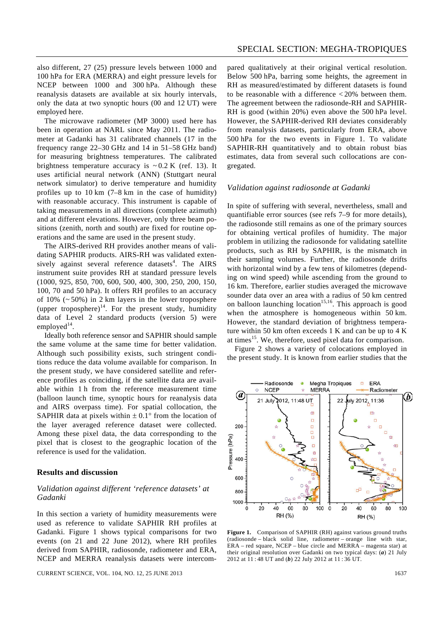also different, 27 (25) pressure levels between 1000 and 100 hPa for ERA (MERRA) and eight pressure levels for NCEP between 1000 and 300 hPa. Although these reanalysis datasets are available at six hourly intervals, only the data at two synoptic hours (00 and 12 UT) were employed here.

 The microwave radiometer (MP 3000) used here has been in operation at NARL since May 2011. The radiometer at Gadanki has 31 calibrated channels (17 in the frequency range 22–30 GHz and 14 in 51–58 GHz band) for measuring brightness temperatures. The calibrated brightness temperature accuracy is  $\sim 0.2$  K (ref. 13). It uses artificial neural network (ANN) (Stuttgart neural network simulator) to derive temperature and humidity profiles up to 10 km (7–8 km in the case of humidity) with reasonable accuracy. This instrument is capable of taking measurements in all directions (complete azimuth) and at different elevations. However, only three beam positions (zenith, north and south) are fixed for routine operations and the same are used in the present study.

 The AIRS-derived RH provides another means of validating SAPHIR products. AIRS-RH was validated extensively against several reference datasets<sup>4</sup>. The AIRS instrument suite provides RH at standard pressure levels (1000, 925, 850, 700, 600, 500, 400, 300, 250, 200, 150, 100, 70 and 50 hPa). It offers RH profiles to an accuracy of  $10\%$  ( $\sim$  50%) in 2 km layers in the lower troposphere (upper troposphere) $^{14}$ . For the present study, humidity data of Level 2 standard products (version 5) were employed $14$ .

 Ideally both reference sensor and SAPHIR should sample the same volume at the same time for better validation. Although such possibility exists, such stringent conditions reduce the data volume available for comparison. In the present study, we have considered satellite and reference profiles as coinciding, if the satellite data are available within 1 h from the reference measurement time (balloon launch time, synoptic hours for reanalysis data and AIRS overpass time). For spatial collocation, the SAPHIR data at pixels within  $\pm 0.1^{\circ}$  from the location of the layer averaged reference dataset were collected. Among these pixel data, the data corresponding to the pixel that is closest to the geographic location of the reference is used for the validation.

# **Results and discussion**

# *Validation against different 'reference datasets' at Gadanki*

In this section a variety of humidity measurements were used as reference to validate SAPHIR RH profiles at Gadanki. Figure 1 shows typical comparisons for two events (on 21 and 22 June 2012), where RH profiles derived from SAPHIR, radiosonde, radiometer and ERA, NCEP and MERRA reanalysis datasets were intercom-

CURRENT SCIENCE, VOL. 104, NO. 12, 25 JUNE 2013 1637

pared qualitatively at their original vertical resolution. Below 500 hPa, barring some heights, the agreement in RH as measured/estimated by different datasets is found to be reasonable with a difference < 20% between them. The agreement between the radiosonde-RH and SAPHIR-RH is good (within 20%) even above the 500 hPa level. However, the SAPHIR-derived RH deviates considerably from reanalysis datasets, particularly from ERA, above 500 hPa for the two events in Figure 1. To validate SAPHIR-RH quantitatively and to obtain robust bias estimates, data from several such collocations are congregated.

#### *Validation against radiosonde at Gadanki*

In spite of suffering with several, nevertheless, small and quantifiable error sources (see refs 7–9 for more details), the radiosonde still remains as one of the primary sources for obtaining vertical profiles of humidity. The major problem in utilizing the radiosonde for validating satellite products, such as RH by SAPHIR, is the mismatch in their sampling volumes. Further, the radiosonde drifts with horizontal wind by a few tens of kilometres (depending on wind speed) while ascending from the ground to 16 km. Therefore, earlier studies averaged the microwave sounder data over an area with a radius of 50 km centred on balloon launching location<sup>15,16</sup>. This approach is good when the atmosphere is homogeneous within 50 km. However, the standard deviation of brightness temperature within 50 km often exceeds 1 K and can be up to 4 K at times<sup>15</sup>. We, therefore, used pixel data for comparison.

 Figure 2 shows a variety of colocations employed in the present study. It is known from earlier studies that the



Figure 1. Comparison of SAPHIR (RH) against various ground truths (radiosonde – black solid line, radiometer – orange line with star, ERA – red square, NCEP – blue circle and MERRA – magenta star) at their original resolution over Gadanki on two typical days: (*a*) 21 July 2012 at 11 : 48 UT and (*b*) 22 July 2012 at 11 : 36 UT.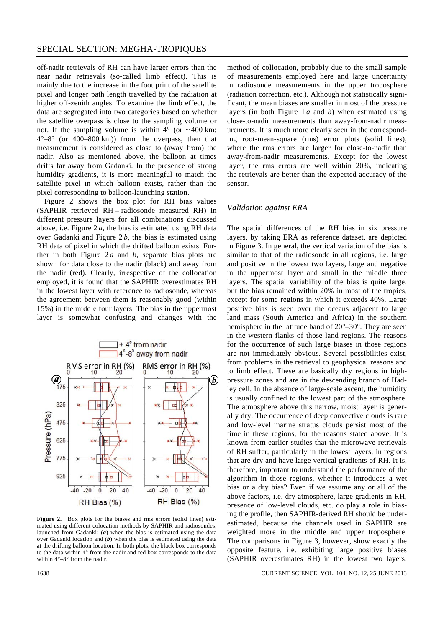off-nadir retrievals of RH can have larger errors than the near nadir retrievals (so-called limb effect). This is mainly due to the increase in the foot print of the satellite pixel and longer path length travelled by the radiation at higher off-zenith angles. To examine the limb effect, the data are segregated into two categories based on whether the satellite overpass is close to the sampling volume or not. If the sampling volume is within  $4^{\circ}$  (or  $\sim 400$  km;  $4^{\circ}-8^{\circ}$  (or  $400-800$  km)) from the overpass, then that measurement is considered as close to (away from) the nadir. Also as mentioned above, the balloon at times drifts far away from Gadanki. In the presence of strong humidity gradients, it is more meaningful to match the satellite pixel in which balloon exists, rather than the pixel corresponding to balloon-launching station.

 Figure 2 shows the box plot for RH bias values (SAPHIR retrieved RH – radiosonde measured RH) in different pressure layers for all combinations discussed above, i.e. Figure  $2a$ , the bias is estimated using RH data over Gadanki and Figure 2 *b*, the bias is estimated using RH data of pixel in which the drifted balloon exists. Further in both Figure  $2a$  and *b*, separate bias plots are shown for data close to the nadir (black) and away from the nadir (red). Clearly, irrespective of the collocation employed, it is found that the SAPHIR overestimates RH in the lowest layer with reference to radiosonde, whereas the agreement between them is reasonably good (within 15%) in the middle four layers. The bias in the uppermost layer is somewhat confusing and changes with the



**Figure 2.** Box plots for the biases and rms errors (solid lines) estimated using different colocation methods by SAPHIR and radiosondes, launched from Gadanki: (*a*) when the bias is estimated using the data over Gadanki location and (*b*) when the bias is estimated using the data at the drifting balloon location. In both plots, the black box corresponds to the data within 4° from the nadir and red box corresponds to the data within 4°–8° from the nadir.

method of collocation, probably due to the small sample of measurements employed here and large uncertainty in radiosonde measurements in the upper troposphere (radiation correction, etc.). Although not statistically significant, the mean biases are smaller in most of the pressure layers (in both Figure 1 *a* and *b*) when estimated using close-to-nadir measurements than away-from-nadir measurements. It is much more clearly seen in the corresponding root-mean-square (rms) error plots (solid lines), where the rms errors are larger for close-to-nadir than away-from-nadir measurements. Except for the lowest layer, the rms errors are well within 20%, indicating the retrievals are better than the expected accuracy of the sensor.

#### *Validation against ERA*

The spatial differences of the RH bias in six pressure layers, by taking ERA as reference dataset, are depicted in Figure 3. In general, the vertical variation of the bias is similar to that of the radiosonde in all regions, i.e. large and positive in the lowest two layers, large and negative in the uppermost layer and small in the middle three layers. The spatial variability of the bias is quite large, but the bias remained within 20% in most of the tropics, except for some regions in which it exceeds 40%. Large positive bias is seen over the oceans adjacent to large land mass (South America and Africa) in the southern hemisphere in the latitude band of 20°–30°. They are seen in the western flanks of those land regions. The reasons for the occurrence of such large biases in those regions are not immediately obvious. Several possibilities exist, from problems in the retrieval to geophysical reasons and to limb effect. These are basically dry regions in highpressure zones and are in the descending branch of Hadley cell. In the absence of large-scale ascent, the humidity is usually confined to the lowest part of the atmosphere. The atmosphere above this narrow, moist layer is generally dry. The occurrence of deep convective clouds is rare and low-level marine stratus clouds persist most of the time in these regions, for the reasons stated above. It is known from earlier studies that the microwave retrievals of RH suffer, particularly in the lowest layers, in regions that are dry and have large vertical gradients of RH. It is, therefore, important to understand the performance of the algorithm in those regions, whether it introduces a wet bias or a dry bias? Even if we assume any or all of the above factors, i.e. dry atmosphere, large gradients in RH, presence of low-level clouds, etc. do play a role in biasing the profile, then SAPHIR-derived RH should be underestimated, because the channels used in SAPHIR are weighted more in the middle and upper troposphere. The comparisons in Figure 3, however, show exactly the opposite feature, i.e. exhibiting large positive biases (SAPHIR overestimates RH) in the lowest two layers.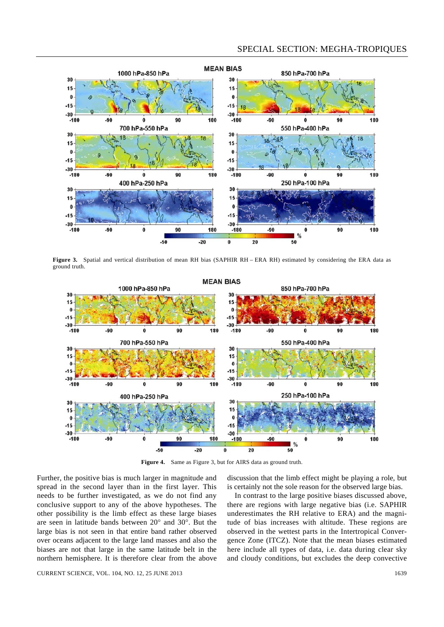# SPECIAL SECTION: MEGHA-TROPIQUES



Figure 3. Spatial and vertical distribution of mean RH bias (SAPHIR RH – ERA RH) estimated by considering the ERA data as ground truth.



**Figure 4.** Same as Figure 3, but for AIRS data as ground truth.

Further, the positive bias is much larger in magnitude and spread in the second layer than in the first layer. This needs to be further investigated, as we do not find any conclusive support to any of the above hypotheses. The other possibility is the limb effect as these large biases are seen in latitude bands between 20° and 30°. But the large bias is not seen in that entire band rather observed over oceans adjacent to the large land masses and also the biases are not that large in the same latitude belt in the northern hemisphere. It is therefore clear from the above discussion that the limb effect might be playing a role, but is certainly not the sole reason for the observed large bias.

 In contrast to the large positive biases discussed above, there are regions with large negative bias (i.e. SAPHIR underestimates the RH relative to ERA) and the magnitude of bias increases with altitude. These regions are observed in the wettest parts in the Intertropical Convergence Zone (ITCZ). Note that the mean biases estimated here include all types of data, i.e. data during clear sky and cloudy conditions, but excludes the deep convective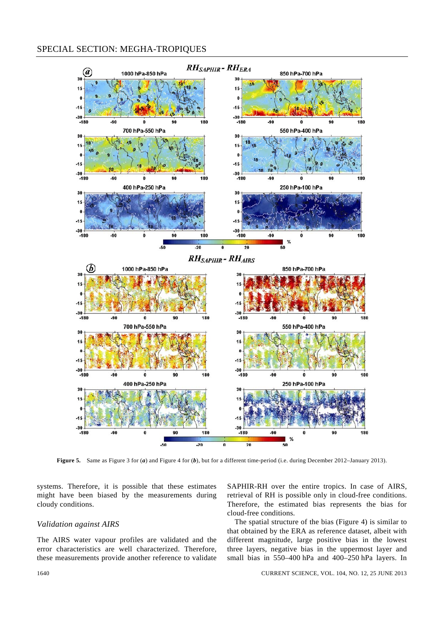# SPECIAL SECTION: MEGHA-TROPIQUES



**Figure 5.** Same as Figure 3 for (*a*) and Figure 4 for (*b*), but for a different time-period (i.e. during December 2012–January 2013).

systems. Therefore, it is possible that these estimates might have been biased by the measurements during cloudy conditions.

# *Validation against AIRS*

The AIRS water vapour profiles are validated and the error characteristics are well characterized. Therefore, these measurements provide another reference to validate

SAPHIR-RH over the entire tropics. In case of AIRS, retrieval of RH is possible only in cloud-free conditions. Therefore, the estimated bias represents the bias for cloud-free conditions.

 The spatial structure of the bias (Figure 4) is similar to that obtained by the ERA as reference dataset, albeit with different magnitude, large positive bias in the lowest three layers, negative bias in the uppermost layer and small bias in 550–400 hPa and 400–250 hPa layers. In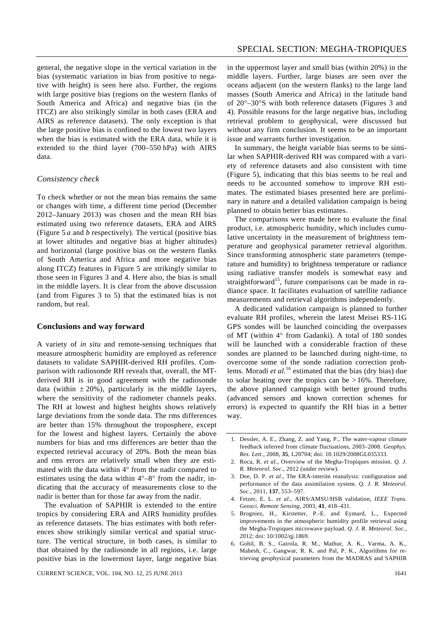general, the negative slope in the vertical variation in the bias (systematic variation in bias from positive to negative with height) is seen here also. Further, the regions with large positive bias (regions on the western flanks of South America and Africa) and negative bias (in the ITCZ) are also strikingly similar in both cases (ERA and AIRS as reference datasets). The only exception is that the large positive bias is confined to the lowest two layers when the bias is estimated with the ERA data, while it is extended to the third layer (700–550 hPa) with AIRS data.

#### *Consistency check*

To check whether or not the mean bias remains the same or changes with time, a different time period (December 2012–January 2013) was chosen and the mean RH bias estimated using two reference datasets, ERA and AIRS (Figure 5 *a* and *b* respectively). The vertical (positive bias at lower altitudes and negative bias at higher altitudes) and horizontal (large positive bias on the western flanks of South America and Africa and more negative bias along ITCZ) features in Figure 5 are strikingly similar to those seen in Figures 3 and 4. Here also, the bias is small in the middle layers. It is clear from the above discussion (and from Figures 3 to 5) that the estimated bias is not random, but real.

## **Conclusions and way forward**

A variety of *in situ* and remote-sensing techniques that measure atmospheric humidity are employed as reference datasets to validate SAPHIR-derived RH profiles. Comparison with radiosonde RH reveals that, overall, the MTderived RH is in good agreement with the radiosonde data (within  $\pm 20\%$ ), particularly in the middle layers, where the sensitivity of the radiometer channels peaks. The RH at lowest and highest heights shows relatively large deviations from the sonde data. The rms differences are better than 15% throughout the troposphere, except for the lowest and highest layers. Certainly the above numbers for bias and rms differences are better than the expected retrieval accuracy of 20%. Both the mean bias and rms errors are relatively small when they are estimated with the data within 4° from the nadir compared to estimates using the data within  $4^{\circ}-8^{\circ}$  from the nadir, indicating that the accuracy of measurements close to the nadir is better than for those far away from the nadir.

 The evaluation of SAPHIR is extended to the entire tropics by considering ERA and AIRS humidity profiles as reference datasets. The bias estimates with both references show strikingly similar vertical and spatial structure. The vertical structure, in both cases, is similar to that obtained by the radiosonde in all regions, i.e. large positive bias in the lowermost layer, large negative bias in the uppermost layer and small bias (within 20%) in the middle layers. Further, large biases are seen over the oceans adjacent (on the western flanks) to the large land masses (South America and Africa) in the latitude band of 20°–30°S with both reference datasets (Figures 3 and 4). Possible reasons for the large negative bias, including retrieval problem to geophysical, were discussed but without any firm conclusion. It seems to be an important issue and warrants further investigation.

 In summary, the height variable bias seems to be similar when SAPHIR-derived RH was compared with a variety of reference datasets and also consistent with time (Figure 5), indicating that this bias seems to be real and needs to be accounted somehow to improve RH estimates. The estimated biases presented here are preliminary in nature and a detailed validation campaign is being planned to obtain better bias estimates.

 The comparisons were made here to evaluate the final product, i.e. atmospheric humidity, which includes cumulative uncertainty in the measurement of brightness temperature and geophysical parameter retrieval algorithm. Since transforming atmospheric state parameters (temperature and humidity) to brightness temperature or radiance using radiative transfer models is somewhat easy and straightforward<sup>15</sup>, future comparisons can be made in radiance space. It facilitates evaluation of satellite radiance measurements and retrieval algorithms independently.

 A dedicated validation campaign is planned to further evaluate RH profiles, wherein the latest Meisei RS-11G GPS sondes will be launched coinciding the overpasses of MT (within 4° from Gadanki). A total of 180 sondes will be launched with a considerable fraction of these sondes are planned to be launched during night-time, to overcome some of the sonde radiation correction problems. Moradi *et al.*16 estimated that the bias (dry bias) due to solar heating over the tropics can be  $>16\%$ . Therefore, the above planned campaign with better ground truths (advanced sensors and known correction schemes for errors) is expected to quantify the RH bias in a better way.

- 4. Fetzer, E. L. *et al.*, AIRS/AMSU/HSB validation, *IEEE Trans. Geosci. Remote Sensing*, 2003, **41**, 418–431.
- 5. Brogniez, H., Kirstetter, P.-E. and Eymard, L., Expected improvements in the atmospheric humidity profile retrieval using the Megha-Tropiques microwave payload. *Q. J. R. Meteorol. Soc*., 2012; doi: 10/1002/qj.1869.
- 6. Gohil, B. S., Gairola, R. M., Mathur, A. K., Varma, A. K., Mahesh, C., Gangwar, R. K. and Pal, P. K., Algorithms for retrieving geophysical parameters from the MADRAS and SAPHIR

<sup>1.</sup> Dessler, A. E., Zhang, Z. and Yang, P., The water-vapour climate feedback inferred from climate fluctuations, 2003–2008. *Geophys. Res. Lett*., 2008, **35**, L20704; doi: 10.1029/2008GL035333.

<sup>2.</sup> Roca, R. *et al.*, Overview of the Megha-Tropiques mission. *Q. J. R. Meteorol. Soc.*, 2012 (under review).

<sup>3.</sup> Dee, D. P. *et al.*, The ERA-interim reanalysis: configuration and performance of the data assimilation system. *Q. J. R. Meteorol. Soc*., 2011, **137**, 553–597.